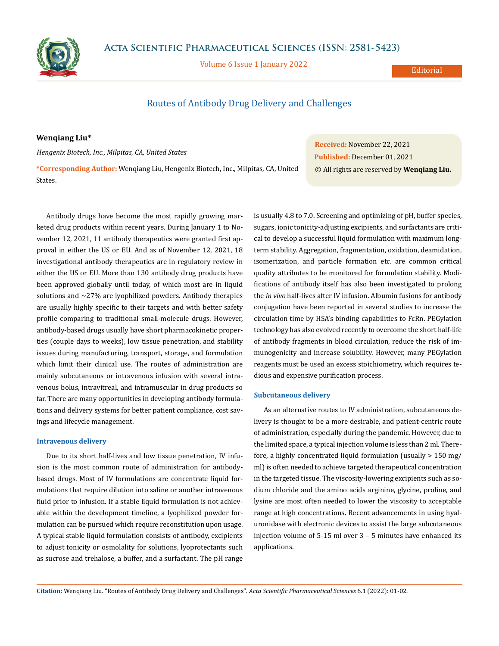

Volume 6 Issue 1 January 2022

**Editorial** 

# Routes of Antibody Drug Delivery and Challenges

## **Wenqiang Liu\***

*Hengenix Biotech, Inc., Milpitas, CA, United States*

**\*Corresponding Author:** Wenqiang Liu, Hengenix Biotech, Inc., Milpitas, CA, United States.

Antibody drugs have become the most rapidly growing marketed drug products within recent years. During January 1 to November 12, 2021, 11 antibody therapeutics were granted first approval in either the US or EU. And as of November 12, 2021, 18 investigational antibody therapeutics are in regulatory review in either the US or EU. More than 130 antibody drug products have been approved globally until today, of which most are in liquid solutions and  $\sim$ 27% are lyophilized powders. Antibody therapies are usually highly specific to their targets and with better safety profile comparing to traditional small-molecule drugs. However, antibody-based drugs usually have short pharmacokinetic properties (couple days to weeks), low tissue penetration, and stability issues during manufacturing, transport, storage, and formulation which limit their clinical use. The routes of administration are mainly subcutaneous or intravenous infusion with several intravenous bolus, intravitreal, and intramuscular in drug products so far. There are many opportunities in developing antibody formulations and delivery systems for better patient compliance, cost savings and lifecycle management.

#### **Intravenous delivery**

Due to its short half-lives and low tissue penetration, IV infusion is the most common route of administration for antibodybased drugs. Most of IV formulations are concentrate liquid formulations that require dilution into saline or another intravenous fluid prior to infusion. If a stable liquid formulation is not achievable within the development timeline, a lyophilized powder formulation can be pursued which require reconstitution upon usage. A typical stable liquid formulation consists of antibody, excipients to adjust tonicity or osmolality for solutions, lyoprotectants such as sucrose and trehalose, a buffer, and a surfactant. The pH range

**Received:** November 22, 2021 **Published:** December 01, 2021 © All rights are reserved by **Wenqiang Liu.**

is usually 4.8 to 7.0. Screening and optimizing of pH, buffer species, sugars, ionic tonicity-adjusting excipients, and surfactants are critical to develop a successful liquid formulation with maximum longterm stability. Aggregation, fragmentation, oxidation, deamidation, isomerization, and particle formation etc. are common critical quality attributes to be monitored for formulation stability. Modifications of antibody itself has also been investigated to prolong the *in vivo* half-lives after IV infusion. Albumin fusions for antibody conjugation have been reported in several studies to increase the circulation time by HSA's binding capabilities to FcRn. PEGylation technology has also evolved recently to overcome the short half-life of antibody fragments in blood circulation, reduce the risk of immunogenicity and increase solubility. However, many PEGylation reagents must be used an excess stoichiometry, which requires tedious and expensive purification process.

### **Subcutaneous delivery**

As an alternative routes to IV administration, subcutaneous delivery is thought to be a more desirable, and patient-centric route of administration, especially during the pandemic. However, due to the limited space, a typical injection volume is less than 2 ml. Therefore, a highly concentrated liquid formulation (usually > 150 mg/ ml) is often needed to achieve targeted therapeutical concentration in the targeted tissue. The viscosity-lowering excipients such as sodium chloride and the amino acids arginine, glycine, proline, and lysine are most often needed to lower the viscosity to acceptable range at high concentrations. Recent advancements in using hyaluronidase with electronic devices to assist the large subcutaneous injection volume of 5-15 ml over 3 – 5 minutes have enhanced its applications.

**Citation:** Wenqiang Liu*.* "Routes of Antibody Drug Delivery and Challenges". *Acta Scientific Pharmaceutical Sciences* 6.1 (2022): 01-02.